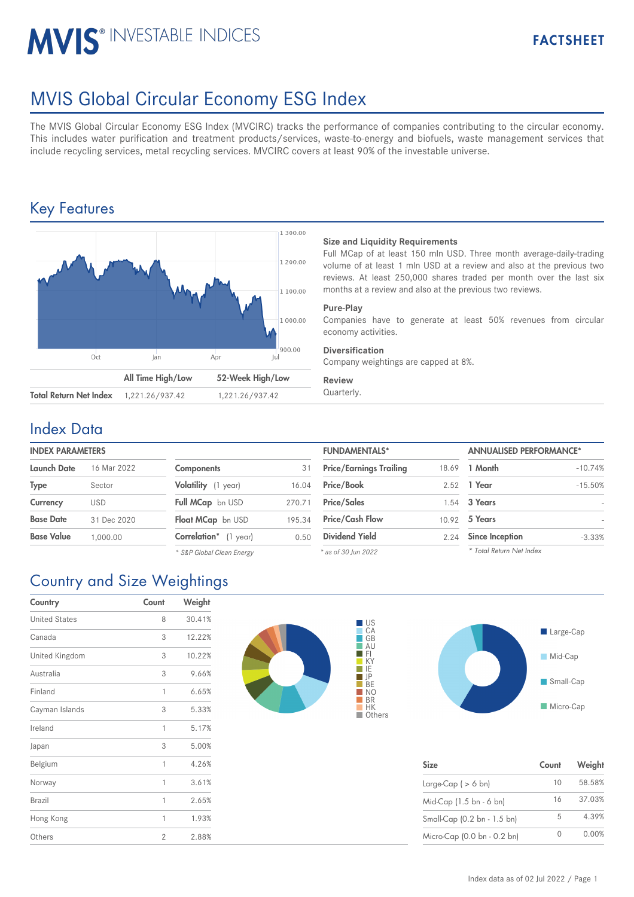# **MVIS® INVESTABLE INDICES**

# MVIS Global Circular Economy ESG Index

The MVIS Global Circular Economy ESG Index (MVCIRC) tracks the performance of companies contributing to the circular economy. This includes water purification and treatment products/services, waste-to-energy and biofuels, waste management services that include recycling services, metal recycling services. MVCIRC covers at least 90% of the investable universe.

## Key Features



## **Size and Liquidity Requirements**

Full MCap of at least 150 mln USD. Three month average-daily-trading volume of at least 1 mln USD at a review and also at the previous two reviews. At least 250,000 shares traded per month over the last six months at a review and also at the previous two reviews.

### **Pure-Play**

Companies have to generate at least 50% revenues from circular economy activities.

## **Diversification**

Company weightings are capped at 8%.

### **Review**

## Index Data

## **INDEX PARAMETERS**

| <b>Launch Date</b> | 16 Mar 2022 | <b>Components</b>            | 31     | <b>Price/Earnings Trailing</b> | 18.69 | 1 Month                |
|--------------------|-------------|------------------------------|--------|--------------------------------|-------|------------------------|
| <b>Type</b>        | Sector      | Volatility (1 year)          | 16.04  | Price/Book                     |       | 2.52 1 Year            |
| Currency           | <b>USD</b>  | Full MCap bn USD             | 270.71 | <b>Price/Sales</b>             |       | 1.54 3 Years           |
| <b>Base Date</b>   | 31 Dec 2020 | Float MCap bn USD            | 195.34 | <b>Price/Cash Flow</b>         |       | 10.92 5 Years          |
| <b>Base Value</b>  | 1.000.00    | <b>Correlation*</b> (1 year) | 0.50   | <b>Dividend Yield</b>          | 2.24  | <b>Since Inception</b> |
|                    |             |                              |        |                                |       |                        |

| <b>Components</b>     | 31     |
|-----------------------|--------|
| Volatility (1 year)   | 16.04  |
| Full MCap bn USD      | 270.71 |
| Float MCap bn USD     | 195.34 |
| Correlation* (1 year) | 0.50   |

| <b>FUNDAMENTALS*</b>           |       | <b>ANNUALISED PERFORMANCE*</b> |           |  |
|--------------------------------|-------|--------------------------------|-----------|--|
| <b>Price/Earnings Trailing</b> | 18.69 | 1 Month                        | $-10.74%$ |  |
| Price/Book                     | 2.52  | 1 Year                         | $-15.50%$ |  |
| <b>Price/Sales</b>             | 1.54  | 3 Years                        |           |  |
| <b>Price/Cash Flow</b>         | 10.92 | 5 Years                        |           |  |
| <b>Dividend Yield</b>          | 2.24  | <b>Since Inception</b>         | $-3.33%$  |  |
| * as of 30 Jun 2022            |       | * Total Return Net Index       |           |  |

# Country and Size Weightings

| Country              | Count          | Weight |
|----------------------|----------------|--------|
| <b>United States</b> | 8              | 30.41% |
| Canada               | 3              | 12.22% |
| United Kingdom       | 3              | 10.22% |
| Australia            | 3              | 9.66%  |
| Finland              | 1              | 6.65%  |
| Cayman Islands       | 3              | 5.33%  |
| Ireland              | 1              | 5.17%  |
| Japan                | 3              | 5.00%  |
| Belgium              | 1              | 4.26%  |
| Norway               | 1              | 3.61%  |
| Brazil               | 1              | 2.65%  |
| Hong Kong            | 1              | 1.93%  |
| Others               | $\overline{2}$ | 2.88%  |





| <b>Size</b>                 | Count | Weight |
|-----------------------------|-------|--------|
| Large-Cap $($ > 6 bn)       | 10    | 58.58% |
| Mid-Cap (1.5 bn - 6 bn)     | 16    | 37.03% |
| Small-Cap (0.2 bn - 1.5 bn) | 5     | 4.39%  |
| Micro-Cap (0.0 bn - 0.2 bn) |       | 0.00%  |